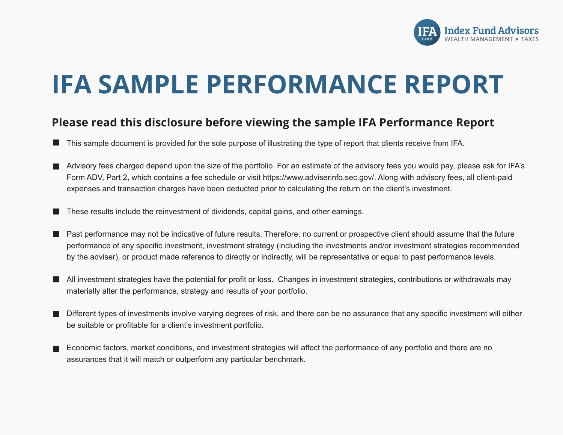

# **IFA SAMPLE PERFORMANCE REPORT**

### **Please read this disclosure before viewing the sample IFA Performance Report**

- This sample document is provided for the sole purpose of illustrating the type of report that clients receive from IFA.
- Advisory fees charged depend upon the size of the portfolio. For an estimate of the advisory fees you would pay, please ask for IFA's Form ADV, Part 2, which contains a fee schedule or visit https://www.adviserinfo.sec.gov/. Along with advisory fees, all client-paid expenses and transaction charges have been deducted prior to calculating the return on the client's investment.
- These results include the reinvestment of dividends, capital gains, and other earnings.
- Past performance may not be indicative of future results. Therefore, no current or prospective client should assume that the future performance of any specific investment, investment strategy (including the investments and/or investment strategies recommended by the adviser), or product made reference to directly or indirectly, will be representative or equal to past performance levels.
- All investment strategies have the potential for profit or loss. Changes in investment strategies, contributions or withdrawals may materially alter the performance, strategy and results of your portfolio.
- Different types of investments involve varying degrees of risk, and there can be no assurance that any specific investment will either be suitable or profitable for a client's investment portfolio.
- Economic factors, market conditions, and investment strategies will affect the performance of any portfolio and there are no assurances that it will match or outperform any particular benchmark.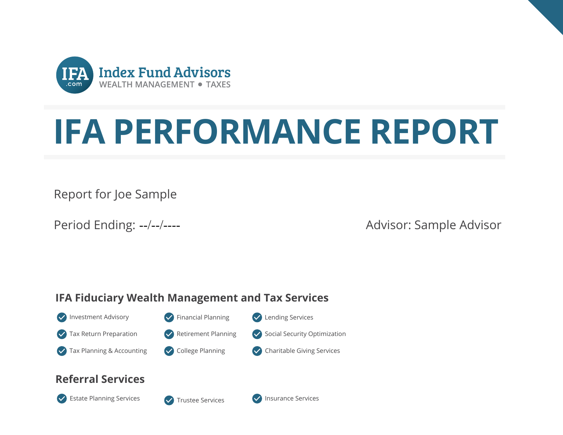

# **IFA PERFORMANCE REPORT**

Report for Joe Sample

Period Ending: --/--/----

Advisor: Sample Advisor

## **IFA Fiduciary Wealth Management and Tax Services**

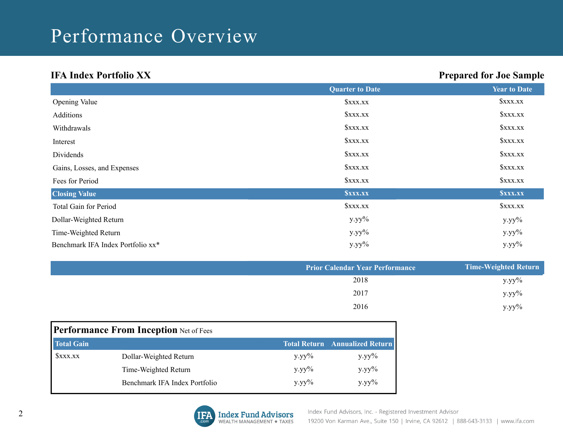# Performance Overview

### **IFA Index Portfolio XX**

### **Prepared for Joe Sample**

|                                   | <b>Quarter to Date</b>       | <b>Year to Date</b>          |
|-----------------------------------|------------------------------|------------------------------|
| <b>Opening Value</b>              | <b><i><u>SXXX.XX</u></i></b> | <b><i><u>SXXX.XX</u></i></b> |
| Additions                         | <b><i>SXXX.XX</i></b>        | <b><i>SXXX.XX</i></b>        |
| Withdrawals                       | <b><i>SXXX.XX</i></b>        | <b><i>SXXX.XX</i></b>        |
| Interest                          | <b><i>SXXX.XX</i></b>        | <b><i>SXXX.XX</i></b>        |
| Dividends                         | xxx                          | <b><i>SXXX.XX</i></b>        |
| Gains, Losses, and Expenses       | <b><i>SXXX.XX</i></b>        | <b><i>SXXX.XX</i></b>        |
| Fees for Period                   | <b><i>SXXX.XX</i></b>        | <b><i><u>SXXX.XX</u></i></b> |
| <b>Closing Value</b>              | <b>SXXX.XX</b>               | <b>SXXX.XX</b>               |
| Total Gain for Period             | <b><i>SXXX.XX</i></b>        | <b><i>SXXX.XX</i></b>        |
| Dollar-Weighted Return            | $y.yy\%$                     | $y.yy\%$                     |
| Time-Weighted Return              | $y.yy\%$                     | $y.yy\%$                     |
| Benchmark IFA Index Portfolio xx* | $y.yy\%$                     | $y.yy\%$                     |

| <b>Prior Calendar Year Performance</b> | <b>Time-Weighted Return</b> |
|----------------------------------------|-----------------------------|
| 2018                                   | $y.yy\%$                    |
| 2017                                   | $y.yy\%$                    |
| 2016                                   | $y.yy\%$                    |

| <b>Performance From Inception Net of Fees</b> |                               |              |                                       |  |  |  |
|-----------------------------------------------|-------------------------------|--------------|---------------------------------------|--|--|--|
| <b>Total Gain</b>                             |                               |              | <b>Total Return</b> Annualized Return |  |  |  |
| xxx                                           | Dollar-Weighted Return        | $V.$ YV $\%$ | $V.yy\%$                              |  |  |  |
|                                               | Time-Weighted Return          | $V.yy\%$     | y.yy%                                 |  |  |  |
|                                               | Benchmark IFA Index Portfolio | $V.$ YV $\%$ | $y.yy\%$                              |  |  |  |

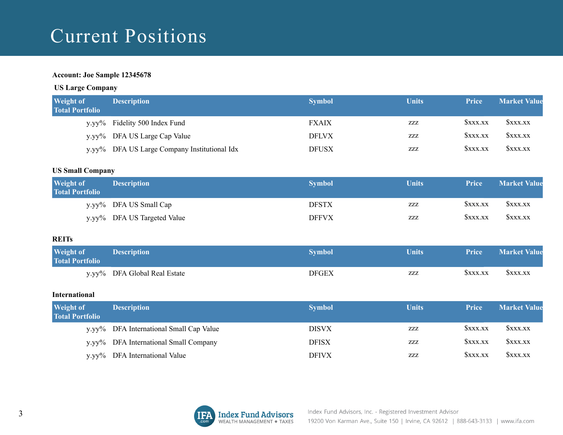# **Current Positions**

#### **Account: Joe Sample 12345678**

#### **US Large Company**

| <b>Weight of</b><br><b>Total Portfolio</b> | <b>Description</b>                           | <b>Symbol</b> | <b>Units</b> | <b>Price</b> | <b>Market Value</b> |
|--------------------------------------------|----------------------------------------------|---------------|--------------|--------------|---------------------|
|                                            | y.yy% Fidelity 500 Index Fund                | <b>FXAIX</b>  | ZZZ          | SXXX.XX      | SXXX.XX             |
|                                            | y.yy% DFA US Large Cap Value                 | <b>DFLVX</b>  | ZZZ          | SXXX.XX      | SXXX.XX             |
|                                            | y.yy% DFA US Large Company Institutional Idx | <b>DFUSX</b>  | ZZZ          | SXXX.XX      | SXXX.XX             |

#### **US Small Company**

| <b>Weight of</b><br><b>Total Portfolio</b> | <b>Description</b>          | <b>Symbol</b> | <b>Units</b> | <b>Price</b> | <b>Market Value</b> |
|--------------------------------------------|-----------------------------|---------------|--------------|--------------|---------------------|
|                                            | y.yy% DFA US Small Cap      | <b>DFSTX</b>  | ZZZ          | SXXX.XX      | SXXX.XX             |
|                                            | y.yy% DFA US Targeted Value | <b>DFFVX</b>  | ZZZ          | SXXX.XX      | SXXX.XX             |

#### **REITs**

| <b>Weight of</b><br><b>Total Portfolio</b> | <b>Description</b>           | Svmbol | Units | <b>Price</b> | <b>Market Value</b> |
|--------------------------------------------|------------------------------|--------|-------|--------------|---------------------|
|                                            | y.yy% DFA Global Real Estate | DFGEX  | ZZZ   | SXXX.XX      | SXXX.XX             |

#### **International**

| <b>Weight of</b><br><b>Total Portfolio</b> | <b>Description</b>                      | <b>Symbol</b> | Units | <b>Price</b> | <b>Market Value</b> |
|--------------------------------------------|-----------------------------------------|---------------|-------|--------------|---------------------|
|                                            | y.yy% DFA International Small Cap Value | <b>DISVX</b>  | ZZZ   | SXXX.XX      | SXXX.XX             |
|                                            | y.yy% DFA International Small Company   | <b>DFISX</b>  | ZZZ   | SXXX.XX      | SXXX.XX             |
|                                            | y.yy% DFA International Value           | <b>DFIVX</b>  | ZZZ   | SXXX.XX      | SXXX.XX             |

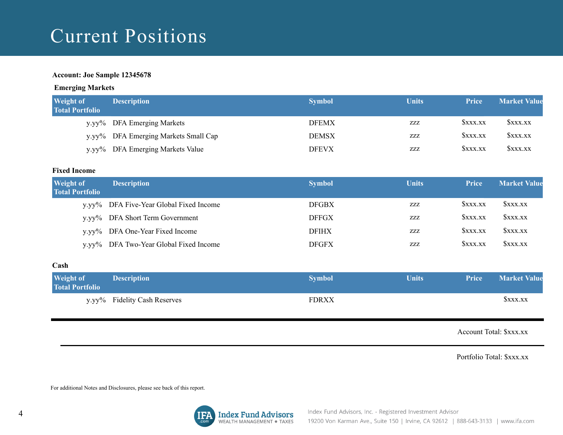# Current Positions

#### **Account: Joe Sample 12345678**

#### **Emerging Markets**

| <b>Weight of</b><br><b>Total Portfolio</b> | <b>Description</b>                   | <b>Symbol</b> | <b>Units</b> | <b>Price</b> | <b>Market Value</b> |
|--------------------------------------------|--------------------------------------|---------------|--------------|--------------|---------------------|
|                                            | y.yy% DFA Emerging Markets           | <b>DFEMX</b>  | ZZZ          | SXXX.XX      | SXXX.XX             |
|                                            | y.yy% DFA Emerging Markets Small Cap | <b>DEMSX</b>  | ZZZ          | SXXX.XX      | <b>SXXX.XX</b>      |
|                                            | y.yy% DFA Emerging Markets Value     | <b>DFEVX</b>  | ZZZ          | SXXX.XX      | SXXX.XX             |

#### **Fixed Income**

| <b>Weight of</b><br><b>Total Portfolio</b> | <b>Description</b>                      | <b>Symbol</b> | <b>Units</b> | <b>Price</b> | <b>Market Value</b> |
|--------------------------------------------|-----------------------------------------|---------------|--------------|--------------|---------------------|
|                                            | y.yy% DFA Five-Year Global Fixed Income | <b>DFGBX</b>  | ZZZ          | SXXX.XX      | SXXX.XX             |
|                                            | y.yy% DFA Short Term Government         | <b>DFFGX</b>  | ZZZ          | SXXX.XX      | SXXX.XX             |
|                                            | y.yy% DFA One-Year Fixed Income         | <b>DFIHX</b>  | ZZZ          | SXXX.XX      | SXXX.XX             |
| $V.VV\%$                                   | DFA Two-Year Global Fixed Income        | <b>DFGFX</b>  | ZZZ          | SXXX.XX      | SXXX.XX             |

#### $\mathbf{Cash}$

| <b>Weight of</b><br><b>Total Portfolio</b> | <b>Description</b>           | <b>Symbol</b> | Units | <b>Price</b> | <b>Market Value</b> |
|--------------------------------------------|------------------------------|---------------|-------|--------------|---------------------|
|                                            | y.yy% Fidelity Cash Reserves | FDRXX         |       |              | SXXX.XX             |

Account Total: \$xxx.xx

Portfolio Total: \$xxx.xx

For additional Notes and Disclosures, please see back of this report.

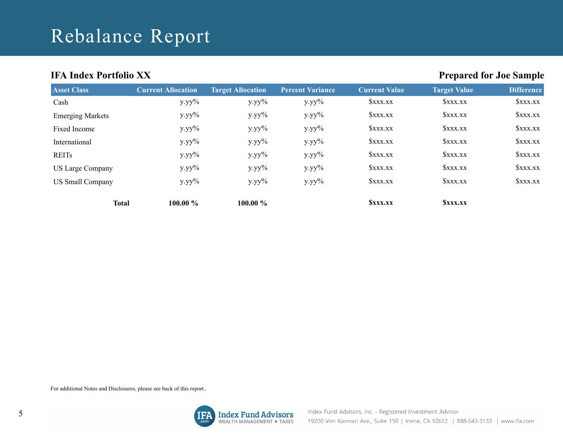# Rebalance Report

### **IFA Index Portfolio XX**

### **Prepared for Joe Sample**

| <b>Asset Class</b>      | <b>Current Allocation</b> | <b>Target Allocation</b> | <b>Percent Variance</b> | Current Value                | <b>Target Value</b>          | <b>Difference</b> |
|-------------------------|---------------------------|--------------------------|-------------------------|------------------------------|------------------------------|-------------------|
| Cash                    | $y.yy\%$                  | $y.yy\%$                 | $y.yy\%$                | <b><i><u>SXXX.XX</u></i></b> | <b><i><u>SXXX.XX</u></i></b> | <i>Sxxx.xx</i>    |
| <b>Emerging Markets</b> | $y.yy\%$                  | $y.yy\%$                 | $y.yy\%$                | <b><i><u>SXXX.XX</u></i></b> | <b>SXXX.XX</b>               | <b>SXXX.XX</b>    |
| Fixed Income            | $y.yy\%$                  | $y.yy\%$                 | $y.yy\%$                | <b><i><u>SXXX.XX</u></i></b> | <b>SXXX.XX</b>               | <b>SXXX.XX</b>    |
| International           | $y.yy\%$                  | $y.yy\%$                 | $y.yy\%$                | <b>SXXX.XX</b>               | <b>SXXX.XX</b>               | <b>SXXX.XX</b>    |
| <b>REITs</b>            | $y.yy\%$                  | $y.yy\%$                 | $y.yy\%$                | <b><i><u>SXXX.XX</u></i></b> | <b>SXXX.XX</b>               | xxx               |
| <b>US Large Company</b> | $y.yy\%$                  | $y.yy\%$                 | $y.yy\%$                | <b><i><u>SXXX.XX</u></i></b> | <b>SXXX.XX</b>               | SXXX.XX           |
| <b>US Small Company</b> | $y.yy\%$                  | $y.yy\%$                 | $y.yy\%$                | xxx                          | SXXX.XX                      | SXXX.XX           |
| <b>Total</b>            | 100.00 %                  | $100.00 \%$              |                         | <b>SXXX.XX</b>               | <b>SXXX.XX</b>               |                   |

For additional Notes and Disclosures, please see back of this report..